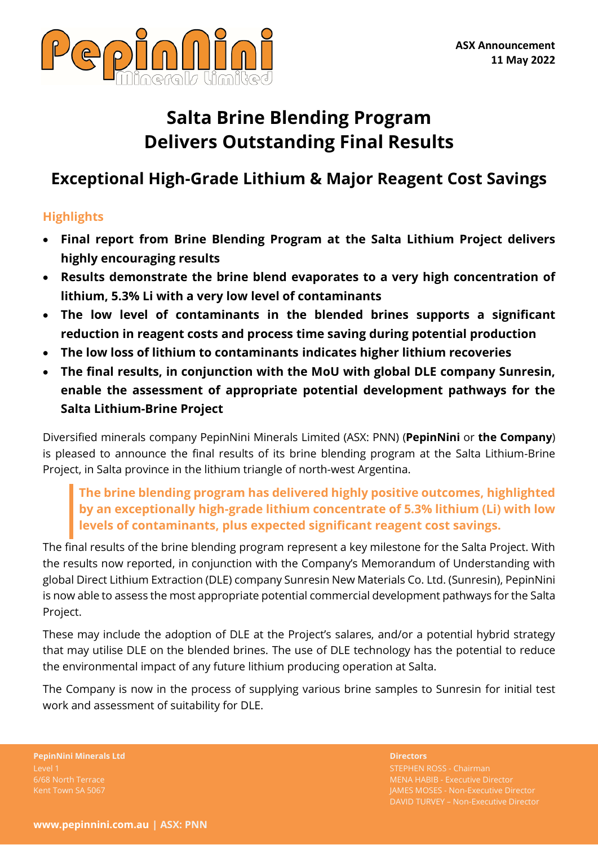

# **Salta Brine Blending Program Delivers Outstanding Final Results**

# **Exceptional High-Grade Lithium & Major Reagent Cost Savings**

## **Highlights**

- **Final report from Brine Blending Program at the Salta Lithium Project delivers highly encouraging results**
- **Results demonstrate the brine blend evaporates to a very high concentration of lithium, 5.3% Li with a very low level of contaminants**
- **The low level of contaminants in the blended brines supports a significant reduction in reagent costs and process time saving during potential production**
- **The low loss of lithium to contaminants indicates higher lithium recoveries**
- **The final results, in conjunction with the MoU with global DLE company Sunresin, enable the assessment of appropriate potential development pathways for the Salta Lithium-Brine Project**

Diversified minerals company PepinNini Minerals Limited (ASX: PNN) (**PepinNini** or **the Company**) is pleased to announce the final results of its brine blending program at the Salta Lithium-Brine Project, in Salta province in the lithium triangle of north-west Argentina.

## **The brine blending program has delivered highly positive outcomes, highlighted by an exceptionally high-grade lithium concentrate of 5.3% lithium (Li) with low levels of contaminants, plus expected significant reagent cost savings.**

The final results of the brine blending program represent a key milestone for the Salta Project. With the results now reported, in conjunction with the Company's Memorandum of Understanding with global Direct Lithium Extraction (DLE) company Sunresin New Materials Co. Ltd. (Sunresin), PepinNini is now able to assess the most appropriate potential commercial development pathways for the Salta Project.

These may include the adoption of DLE at the Project's salares, and/or a potential hybrid strategy that may utilise DLE on the blended brines. The use of DLE technology has the potential to reduce the environmental impact of any future lithium producing operation at Salta.

The Company is now in the process of supplying various brine samples to Sunresin for initial test work and assessment of suitability for DLE.

**PepinNini Minerals Ltd Directors** 6/68 North Terrace

STEPHEN ROSS - Chairman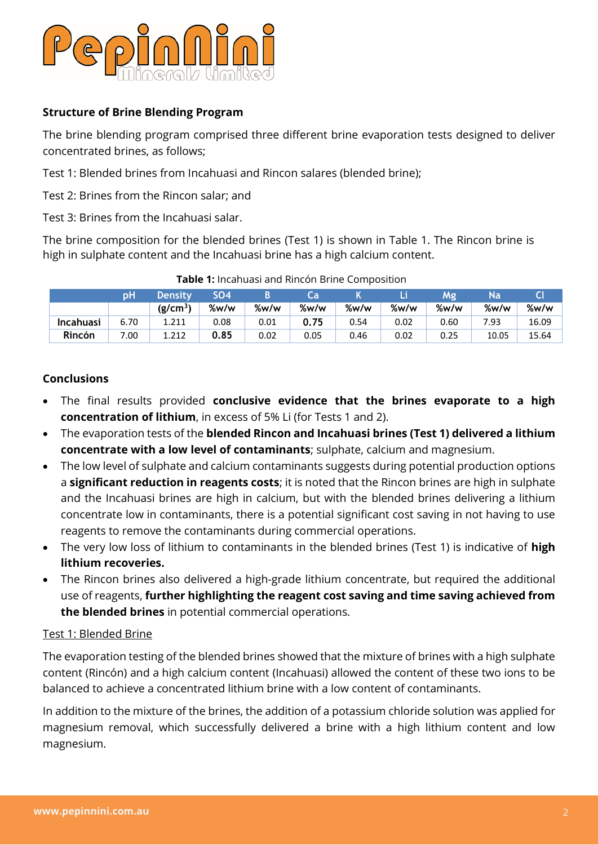

#### **Structure of Brine Blending Program**

The brine blending program comprised three different brine evaporation tests designed to deliver concentrated brines, as follows;

Test 1: Blended brines from Incahuasi and Rincon salares (blended brine);

Test 2: Brines from the Rincon salar; and

Test 3: Brines from the Incahuasi salar.

The brine composition for the blended brines (Test 1) is shown in Table 1. The Rincon brine is high in sulphate content and the Incahuasi brine has a high calcium content.

|                  | рH   | <b>Density</b>       | <b>SO4</b> |      | Ca                |      | Li   | Mg   | Na    |       |
|------------------|------|----------------------|------------|------|-------------------|------|------|------|-------|-------|
|                  |      | (g/cm <sup>3</sup> ) | %w/w       | %w/w | $\frac{9}{2}$ w/w | %w/w | %w/w | %w/w | %w/w  | %w/w  |
| <b>Incahuasi</b> | 6.70 | 1.211                | 0.08       | 0.01 | 0.75              | 0.54 | 0.02 | 0.60 | 7.93  | 16.09 |
| Rincón           | 7.00 | 1.212                | 0.85       | 0.02 | 0.05              | 0.46 | 0.02 | 0.25 | 10.05 | 15.64 |

#### **Table 1:** Incahuasi and Rincón Brine Composition

#### **Conclusions**

- The final results provided **conclusive evidence that the brines evaporate to a high concentration of lithium**, in excess of 5% Li (for Tests 1 and 2).
- The evaporation tests of the **blended Rincon and Incahuasi brines (Test 1) delivered a lithium concentrate with a low level of contaminants**; sulphate, calcium and magnesium.
- The low level of sulphate and calcium contaminants suggests during potential production options a **significant reduction in reagents costs**; it is noted that the Rincon brines are high in sulphate and the Incahuasi brines are high in calcium, but with the blended brines delivering a lithium concentrate low in contaminants, there is a potential significant cost saving in not having to use reagents to remove the contaminants during commercial operations.
- The very low loss of lithium to contaminants in the blended brines (Test 1) is indicative of **high lithium recoveries.**
- The Rincon brines also delivered a high-grade lithium concentrate, but required the additional use of reagents, **further highlighting the reagent cost saving and time saving achieved from the blended brines** in potential commercial operations.

#### Test 1: Blended Brine

The evaporation testing of the blended brines showed that the mixture of brines with a high sulphate content (Rincón) and a high calcium content (Incahuasi) allowed the content of these two ions to be balanced to achieve a concentrated lithium brine with a low content of contaminants.

In addition to the mixture of the brines, the addition of a potassium chloride solution was applied for magnesium removal, which successfully delivered a brine with a high lithium content and low magnesium.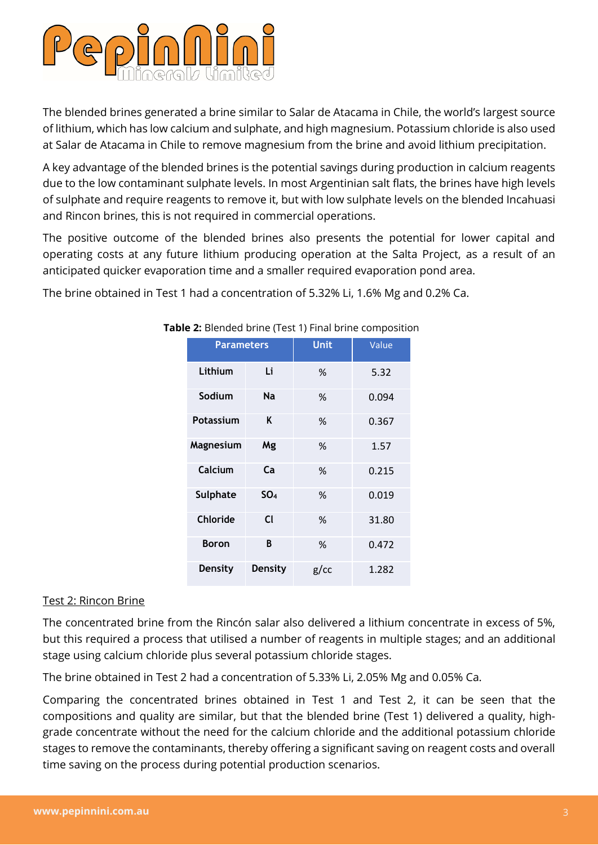

The blended brines generated a brine similar to Salar de Atacama in Chile, the world's largest source of lithium, which has low calcium and sulphate, and high magnesium. Potassium chloride is also used at Salar de Atacama in Chile to remove magnesium from the brine and avoid lithium precipitation.

A key advantage of the blended brines is the potential savings during production in calcium reagents due to the low contaminant sulphate levels. In most Argentinian salt flats, the brines have high levels of sulphate and require reagents to remove it, but with low sulphate levels on the blended Incahuasi and Rincon brines, this is not required in commercial operations.

The positive outcome of the blended brines also presents the potential for lower capital and operating costs at any future lithium producing operation at the Salta Project, as a result of an anticipated quicker evaporation time and a smaller required evaporation pond area.

The brine obtained in Test 1 had a concentration of 5.32% Li, 1.6% Mg and 0.2% Ca.

| <b>Parameters</b> |                 | <b>Unit</b> | Value |  |
|-------------------|-----------------|-------------|-------|--|
| Lithium           | Li              | %           | 5.32  |  |
| Sodium            | <b>Na</b>       | %           | 0.094 |  |
| Potassium         | K               | %           | 0.367 |  |
| Magnesium         | Mg              | ℅           | 1.57  |  |
| Calcium           | Ca              | %           | 0.215 |  |
| <b>Sulphate</b>   | SO <sub>A</sub> | %           | 0.019 |  |
| Chloride          | $\mathsf{C}$    | %           | 31.80 |  |
| <b>Boron</b>      | R               | %           | 0.472 |  |
| <b>Density</b>    | <b>Density</b>  | $g$ / $cc$  | 1.282 |  |

#### **Table 2:** Blended brine (Test 1) Final brine composition

#### Test 2: Rincon Brine

The concentrated brine from the Rincón salar also delivered a lithium concentrate in excess of 5%, but this required a process that utilised a number of reagents in multiple stages; and an additional stage using calcium chloride plus several potassium chloride stages.

The brine obtained in Test 2 had a concentration of 5.33% Li, 2.05% Mg and 0.05% Ca.

Comparing the concentrated brines obtained in Test 1 and Test 2, it can be seen that the compositions and quality are similar, but that the blended brine (Test 1) delivered a quality, highgrade concentrate without the need for the calcium chloride and the additional potassium chloride stages to remove the contaminants, thereby offering a significant saving on reagent costs and overall time saving on the process during potential production scenarios.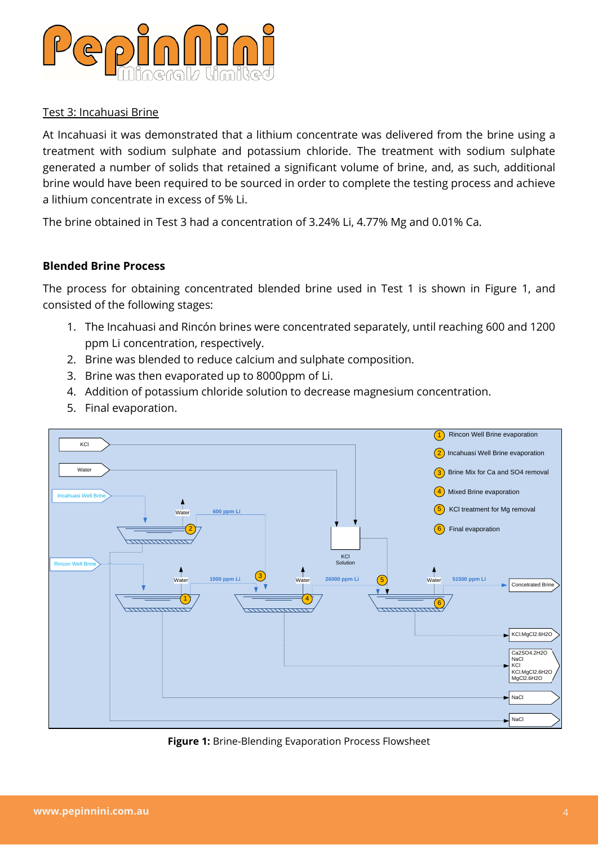

#### Test 3: Incahuasi Brine

At Incahuasi it was demonstrated that a lithium concentrate was delivered from the brine using a treatment with sodium sulphate and potassium chloride. The treatment with sodium sulphate generated a number of solids that retained a significant volume of brine, and, as such, additional brine would have been required to be sourced in order to complete the testing process and achieve a lithium concentrate in excess of 5% Li.

The brine obtained in Test 3 had a concentration of 3.24% Li, 4.77% Mg and 0.01% Ca.

#### **Blended Brine Process**

The process for obtaining concentrated blended brine used in Test 1 is shown in Figure 1, and consisted of the following stages:

- 1. The Incahuasi and Rincón brines were concentrated separately, until reaching 600 and 1200 ppm Li concentration, respectively.
- 2. Brine was blended to reduce calcium and sulphate composition.
- 3. Brine was then evaporated up to 8000ppm of Li.
- 4. Addition of potassium chloride solution to decrease magnesium concentration.
- 5. Final evaporation.



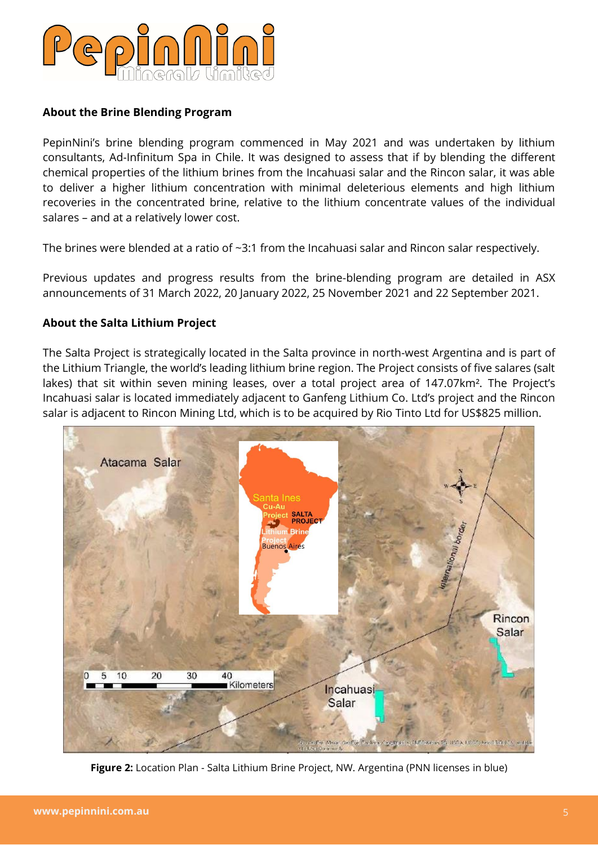

#### **About the Brine Blending Program**

PepinNini's brine blending program commenced in May 2021 and was undertaken by lithium consultants, Ad-Infinitum Spa in Chile. It was designed to assess that if by blending the different chemical properties of the lithium brines from the Incahuasi salar and the Rincon salar, it was able to deliver a higher lithium concentration with minimal deleterious elements and high lithium recoveries in the concentrated brine, relative to the lithium concentrate values of the individual salares – and at a relatively lower cost.

The brines were blended at a ratio of ~3:1 from the Incahuasi salar and Rincon salar respectively.

Previous updates and progress results from the brine-blending program are detailed in ASX announcements of 31 March 2022, 20 January 2022, 25 November 2021 and 22 September 2021.

#### **About the Salta Lithium Project**

The Salta Project is strategically located in the Salta province in north-west Argentina and is part of the Lithium Triangle, the world's leading lithium brine region. The Project consists of five salares (salt lakes) that sit within seven mining leases, over a total project area of 147.07km². The Project's Incahuasi salar is located immediately adjacent to Ganfeng Lithium Co. Ltd's project and the Rincon salar is adjacent to Rincon Mining Ltd, which is to be acquired by Rio Tinto Ltd for US\$825 million.



**Figure 2:** Location Plan - Salta Lithium Brine Project, NW. Argentina (PNN licenses in blue)